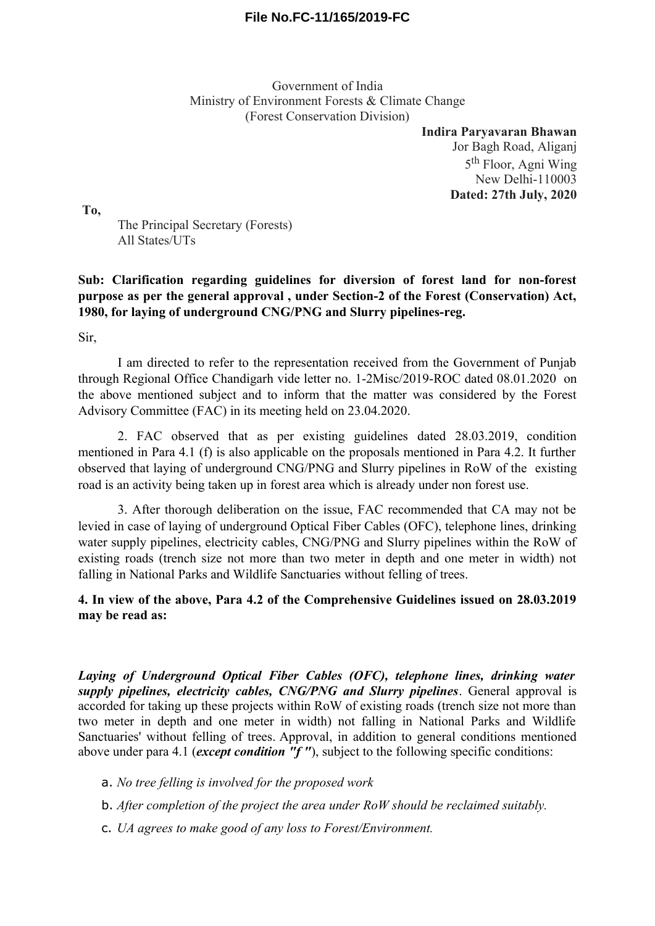## **File No.FC-11/165/2019-FC**

Government of India Ministry of Environment Forests & Climate Change (Forest Conservation Division)

> **Indira Paryavaran Bhawan** Jor Bagh Road, Aliganj 5<sup>th</sup> Floor, Agni Wing New Delhi-110003 **Dated: 27th July, 2020**

**To,**

The Principal Secretary (Forests) All States/UTs

## **Sub: Clarification regarding guidelines for diversion of forest land for non-forest purpose as per the general approval , under Section-2 of the Forest (Conservation) Act, 1980, for laying of underground CNG/PNG and Slurry pipelines-reg.**

Sir,

I am directed to refer to the representation received from the Government of Punjab through Regional Office Chandigarh vide letter no. 1-2Misc/2019-ROC dated 08.01.2020 on the above mentioned subject and to inform that the matter was considered by the Forest Advisory Committee (FAC) in its meeting held on 23.04.2020.

2. FAC observed that as per existing guidelines dated 28.03.2019, condition mentioned in Para 4.1 (f) is also applicable on the proposals mentioned in Para 4.2. It further observed that laying of underground CNG/PNG and Slurry pipelines in RoW of the existing road is an activity being taken up in forest area which is already under non forest use.

3. After thorough deliberation on the issue, FAC recommended that CA may not be levied in case of laying of underground Optical Fiber Cables (OFC), telephone lines, drinking water supply pipelines, electricity cables, CNG/PNG and Slurry pipelines within the RoW of existing roads (trench size not more than two meter in depth and one meter in width) not falling in National Parks and Wildlife Sanctuaries without felling of trees.

## **4. In view of the above, Para 4.2 of the Comprehensive Guidelines issued on 28.03.2019 may be read as:**

*Laying of Underground Optical Fiber Cables (OFC), telephone lines, drinking water supply pipelines, electricity cables, CNG/PNG and Slurry pipelines*. General approval is accorded for taking up these projects within RoW of existing roads (trench size not more than two meter in depth and one meter in width) not falling in National Parks and Wildlife Sanctuaries' without felling of trees. Approval, in addition to general conditions mentioned above under para 4.1 (*except condition "f "*), subject to the following specific conditions:

a. *No tree felling is involved for the proposed work* 

b. *After completion of the project the area under RoW should be reclaimed suitably.*

c. *UA agrees to make good of any loss to Forest/Environment.*